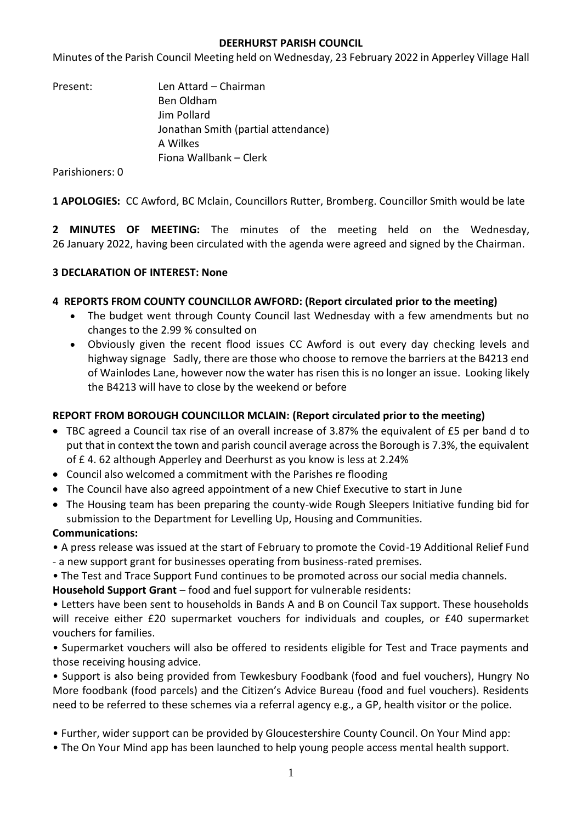#### **DEERHURST PARISH COUNCIL**

Minutes of the Parish Council Meeting held on Wednesday, 23 February 2022 in Apperley Village Hall

| Present: | Len Attard - Chairman               |
|----------|-------------------------------------|
|          | Ben Oldham                          |
|          | Jim Pollard                         |
|          | Jonathan Smith (partial attendance) |
|          | A Wilkes                            |
|          | Fiona Wallbank - Clerk              |
|          |                                     |

Parishioners: 0

**1 APOLOGIES:** CC Awford, BC Mclain, Councillors Rutter, Bromberg. Councillor Smith would be late

**2 MINUTES OF MEETING:** The minutes of the meeting held on the Wednesday, 26 January 2022, having been circulated with the agenda were agreed and signed by the Chairman.

#### **3 DECLARATION OF INTEREST: None**

#### **4 REPORTS FROM COUNTY COUNCILLOR AWFORD: (Report circulated prior to the meeting)**

- The budget went through County Council last Wednesday with a few amendments but no changes to the 2.99 % consulted on
- Obviously given the recent flood issues CC Awford is out every day checking levels and highway signage Sadly, there are those who choose to remove the barriers at the B4213 end of Wainlodes Lane, however now the water has risen this is no longer an issue. Looking likely the B4213 will have to close by the weekend or before

### **REPORT FROM BOROUGH COUNCILLOR MCLAIN: (Report circulated prior to the meeting)**

- TBC agreed a Council tax rise of an overall increase of 3.87% the equivalent of £5 per band d to put that in context the town and parish council average across the Borough is 7.3%, the equivalent of £ 4. 62 although Apperley and Deerhurst as you know is less at 2.24%
- Council also welcomed a commitment with the Parishes re flooding
- The Council have also agreed appointment of a new Chief Executive to start in June
- The Housing team has been preparing the county-wide Rough Sleepers Initiative funding bid for submission to the Department for Levelling Up, Housing and Communities.

### **Communications:**

- A press release was issued at the start of February to promote the Covid-19 Additional Relief Fund
- a new support grant for businesses operating from business-rated premises.
- The Test and Trace Support Fund continues to be promoted across our social media channels.

**Household Support Grant** – food and fuel support for vulnerable residents:

• Letters have been sent to households in Bands A and B on Council Tax support. These households will receive either £20 supermarket vouchers for individuals and couples, or £40 supermarket vouchers for families.

• Supermarket vouchers will also be offered to residents eligible for Test and Trace payments and those receiving housing advice.

• Support is also being provided from Tewkesbury Foodbank (food and fuel vouchers), Hungry No More foodbank (food parcels) and the Citizen's Advice Bureau (food and fuel vouchers). Residents need to be referred to these schemes via a referral agency e.g., a GP, health visitor or the police.

- Further, wider support can be provided by Gloucestershire County Council. On Your Mind app:
- The On Your Mind app has been launched to help young people access mental health support.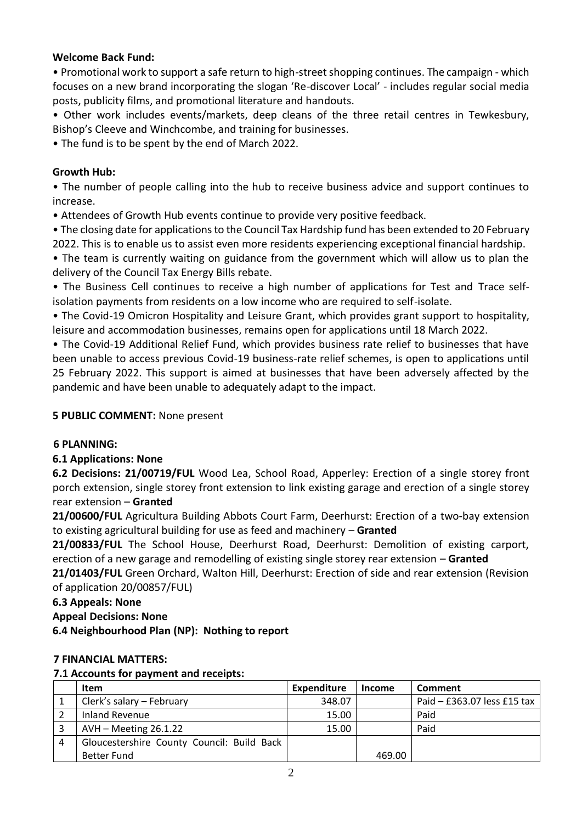# **Welcome Back Fund:**

• Promotional work to support a safe return to high-street shopping continues. The campaign - which focuses on a new brand incorporating the slogan 'Re-discover Local' - includes regular social media posts, publicity films, and promotional literature and handouts.

• Other work includes events/markets, deep cleans of the three retail centres in Tewkesbury, Bishop's Cleeve and Winchcombe, and training for businesses.

• The fund is to be spent by the end of March 2022.

# **Growth Hub:**

• The number of people calling into the hub to receive business advice and support continues to increase.

• Attendees of Growth Hub events continue to provide very positive feedback.

• The closing date for applications to the Council Tax Hardship fund has been extended to 20 February 2022. This is to enable us to assist even more residents experiencing exceptional financial hardship.

• The team is currently waiting on guidance from the government which will allow us to plan the delivery of the Council Tax Energy Bills rebate.

• The Business Cell continues to receive a high number of applications for Test and Trace selfisolation payments from residents on a low income who are required to self-isolate.

• The Covid-19 Omicron Hospitality and Leisure Grant, which provides grant support to hospitality, leisure and accommodation businesses, remains open for applications until 18 March 2022.

• The Covid-19 Additional Relief Fund, which provides business rate relief to businesses that have been unable to access previous Covid-19 business-rate relief schemes, is open to applications until 25 February 2022. This support is aimed at businesses that have been adversely affected by the pandemic and have been unable to adequately adapt to the impact.

# **5 PUBLIC COMMENT:** None present

### **6 PLANNING:**

### **6.1 Applications: None**

**6.2 Decisions: 21/00719/FUL** Wood Lea, School Road, Apperley: Erection of a single storey front porch extension, single storey front extension to link existing garage and erection of a single storey rear extension – **Granted**

**21/00600/FUL** Agricultura Building Abbots Court Farm, Deerhurst: Erection of a two-bay extension to existing agricultural building for use as feed and machinery – **Granted**

**21/00833/FUL** The School House, Deerhurst Road, Deerhurst: Demolition of existing carport, erection of a new garage and remodelling of existing single storey rear extension – **Granted**

**21/01403/FUL** Green Orchard, Walton Hill, Deerhurst: Erection of side and rear extension (Revision of application 20/00857/FUL)

### **6.3 Appeals: None**

**Appeal Decisions: None**

**6.4 Neighbourhood Plan (NP): Nothing to report**

### **7 FINANCIAL MATTERS:**

#### **7.1 Accounts for payment and receipts:**

|   | Item                                       | <b>Expenditure</b> | <b>Income</b> | <b>Comment</b>                |
|---|--------------------------------------------|--------------------|---------------|-------------------------------|
|   | Clerk's salary - February                  | 348.07             |               | Paid $-$ £363.07 less £15 tax |
|   | Inland Revenue                             | 15.00              |               | Paid                          |
|   | AVH - Meeting 26.1.22                      | 15.00              |               | Paid                          |
| 4 | Gloucestershire County Council: Build Back |                    |               |                               |
|   | <b>Better Fund</b>                         |                    | 469.00        |                               |